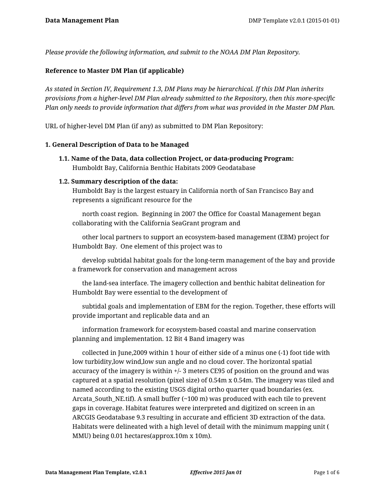*Please provide the following information, and submit to the NOAA DM Plan Repository.*

## **Reference to Master DM Plan (if applicable)**

*As stated in Section IV, Requirement 1.3, DM Plans may be hierarchical. If this DM Plan inherits provisions from a higher-level DM Plan already submitted to the Repository, then this more-specific Plan only needs to provide information that differs from what was provided in the Master DM Plan.*

URL of higher-level DM Plan (if any) as submitted to DM Plan Repository:

#### **1. General Description of Data to be Managed**

**1.1. Name of the Data, data collection Project, or data-producing Program:** Humboldt Bay, California Benthic Habitats 2009 Geodatabase

### **1.2. Summary description of the data:**

Humboldt Bay is the largest estuary in California north of San Francisco Bay and represents a significant resource for the

 north coast region. Beginning in 2007 the Office for Coastal Management began collaborating with the California SeaGrant program and

 other local partners to support an ecosystem-based management (EBM) project for Humboldt Bay. One element of this project was to

 develop subtidal habitat goals for the long-term management of the bay and provide a framework for conservation and management across

 the land-sea interface. The imagery collection and benthic habitat delineation for Humboldt Bay were essential to the development of

 subtidal goals and implementation of EBM for the region. Together, these efforts will provide important and replicable data and an

 information framework for ecosystem-based coastal and marine conservation planning and implementation. 12 Bit 4 Band imagery was

 collected in June,2009 within 1 hour of either side of a minus one (-1) foot tide with low turbidity,low wind,low sun angle and no cloud cover. The horizontal spatial accuracy of the imagery is within +/- 3 meters CE95 of position on the ground and was captured at a spatial resolution (pixel size) of 0.54m x 0.54m. The imagery was tiled and named according to the existing USGS digital ortho quarter quad boundaries (ex. Arcata South NE.tif). A small buffer  $(\sim 100 \text{ m})$  was produced with each tile to prevent gaps in coverage. Habitat features were interpreted and digitized on screen in an ARCGIS Geodatabase 9.3 resulting in accurate and efficient 3D extraction of the data. Habitats were delineated with a high level of detail with the minimum mapping unit ( MMU) being 0.01 hectares(approx.10m x 10m).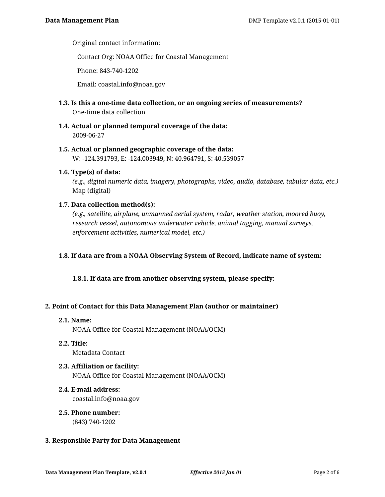Original contact information:

Contact Org: NOAA Office for Coastal Management

Phone: 843-740-1202

Email: coastal.info@noaa.gov

- **1.3. Is this a one-time data collection, or an ongoing series of measurements?** One-time data collection
- **1.4. Actual or planned temporal coverage of the data:** 2009-06-27
- **1.5. Actual or planned geographic coverage of the data:** W: -124.391793, E: -124.003949, N: 40.964791, S: 40.539057
- **1.6. Type(s) of data:**

*(e.g., digital numeric data, imagery, photographs, video, audio, database, tabular data, etc.)* Map (digital)

**1.7. Data collection method(s):**

*(e.g., satellite, airplane, unmanned aerial system, radar, weather station, moored buoy, research vessel, autonomous underwater vehicle, animal tagging, manual surveys, enforcement activities, numerical model, etc.)*

# **1.8. If data are from a NOAA Observing System of Record, indicate name of system:**

**1.8.1. If data are from another observing system, please specify:**

#### **2. Point of Contact for this Data Management Plan (author or maintainer)**

**2.1. Name:**

NOAA Office for Coastal Management (NOAA/OCM)

- **2.2. Title:** Metadata Contact
- **2.3. Affiliation or facility:** NOAA Office for Coastal Management (NOAA/OCM)
- **2.4. E-mail address:** coastal.info@noaa.gov
- **2.5. Phone number:** (843) 740-1202

#### **3. Responsible Party for Data Management**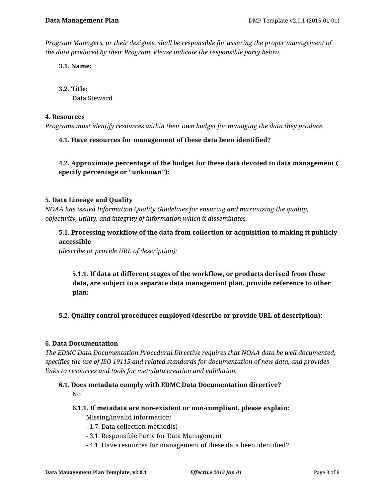*Program Managers, or their designee, shall be responsible for assuring the proper management of the data produced by their Program. Please indicate the responsible party below.*

**3.1. Name:**

**3.2. Title:**

Data Steward

### **4. Resources**

*Programs must identify resources within their own budget for managing the data they produce.*

# **4.1. Have resources for management of these data been identified?**

**4.2. Approximate percentage of the budget for these data devoted to data management ( specify percentage or "unknown"):**

# **5. Data Lineage and Quality**

*NOAA has issued Information Quality Guidelines for ensuring and maximizing the quality, objectivity, utility, and integrity of information which it disseminates.*

**5.1. Processing workflow of the data from collection or acquisition to making it publicly accessible** 

*(describe or provide URL of description):*

**5.1.1. If data at different stages of the workflow, or products derived from these data, are subject to a separate data management plan, provide reference to other plan:**

# **5.2. Quality control procedures employed (describe or provide URL of description):**

# **6. Data Documentation**

*The EDMC Data Documentation Procedural Directive requires that NOAA data be well documented, specifies the use of ISO 19115 and related standards for documentation of new data, and provides links to resources and tools for metadata creation and validation.*

### **6.1. Does metadata comply with EDMC Data Documentation directive?** No

- **6.1.1. If metadata are non-existent or non-compliant, please explain:** Missing/invalid information:
	- 1.7. Data collection method(s)
	- 3.1. Responsible Party for Data Management
	- 4.1. Have resources for management of these data been identified?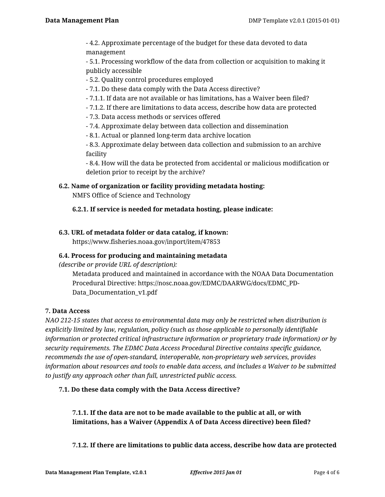- 4.2. Approximate percentage of the budget for these data devoted to data management

- 5.1. Processing workflow of the data from collection or acquisition to making it publicly accessible

- 5.2. Quality control procedures employed

- 7.1. Do these data comply with the Data Access directive?

- 7.1.1. If data are not available or has limitations, has a Waiver been filed?

- 7.1.2. If there are limitations to data access, describe how data are protected

- 7.3. Data access methods or services offered

- 7.4. Approximate delay between data collection and dissemination

- 8.1. Actual or planned long-term data archive location

- 8.3. Approximate delay between data collection and submission to an archive facility

- 8.4. How will the data be protected from accidental or malicious modification or deletion prior to receipt by the archive?

**6.2. Name of organization or facility providing metadata hosting:**

NMFS Office of Science and Technology

**6.2.1. If service is needed for metadata hosting, please indicate:**

# **6.3. URL of metadata folder or data catalog, if known:**

https://www.fisheries.noaa.gov/inport/item/47853

# **6.4. Process for producing and maintaining metadata**

*(describe or provide URL of description):*

Metadata produced and maintained in accordance with the NOAA Data Documentation Procedural Directive: https://nosc.noaa.gov/EDMC/DAARWG/docs/EDMC\_PD-Data\_Documentation\_v1.pdf

# **7. Data Access**

*NAO 212-15 states that access to environmental data may only be restricted when distribution is explicitly limited by law, regulation, policy (such as those applicable to personally identifiable information or protected critical infrastructure information or proprietary trade information) or by security requirements. The EDMC Data Access Procedural Directive contains specific guidance, recommends the use of open-standard, interoperable, non-proprietary web services, provides information about resources and tools to enable data access, and includes a Waiver to be submitted to justify any approach other than full, unrestricted public access.*

# **7.1. Do these data comply with the Data Access directive?**

**7.1.1. If the data are not to be made available to the public at all, or with limitations, has a Waiver (Appendix A of Data Access directive) been filed?**

**7.1.2. If there are limitations to public data access, describe how data are protected**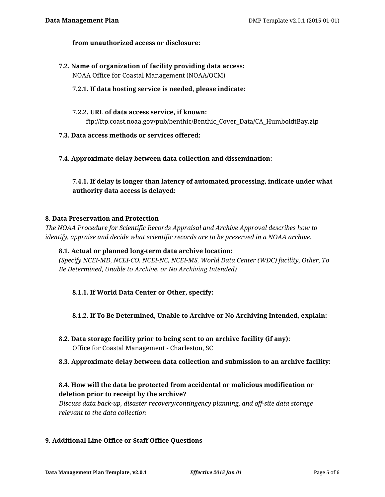## **from unauthorized access or disclosure:**

**7.2. Name of organization of facility providing data access:** NOAA Office for Coastal Management (NOAA/OCM)

### **7.2.1. If data hosting service is needed, please indicate:**

- **7.2.2. URL of data access service, if known:** ftp://ftp.coast.noaa.gov/pub/benthic/Benthic\_Cover\_Data/CA\_HumboldtBay.zip
- **7.3. Data access methods or services offered:**
- **7.4. Approximate delay between data collection and dissemination:**

# **7.4.1. If delay is longer than latency of automated processing, indicate under what authority data access is delayed:**

#### **8. Data Preservation and Protection**

*The NOAA Procedure for Scientific Records Appraisal and Archive Approval describes how to identify, appraise and decide what scientific records are to be preserved in a NOAA archive.*

#### **8.1. Actual or planned long-term data archive location:**

*(Specify NCEI-MD, NCEI-CO, NCEI-NC, NCEI-MS, World Data Center (WDC) facility, Other, To Be Determined, Unable to Archive, or No Archiving Intended)*

# **8.1.1. If World Data Center or Other, specify:**

- **8.1.2. If To Be Determined, Unable to Archive or No Archiving Intended, explain:**
- **8.2. Data storage facility prior to being sent to an archive facility (if any):** Office for Coastal Management - Charleston, SC
- **8.3. Approximate delay between data collection and submission to an archive facility:**

# **8.4. How will the data be protected from accidental or malicious modification or deletion prior to receipt by the archive?**

*Discuss data back-up, disaster recovery/contingency planning, and off-site data storage relevant to the data collection*

# **9. Additional Line Office or Staff Office Questions**